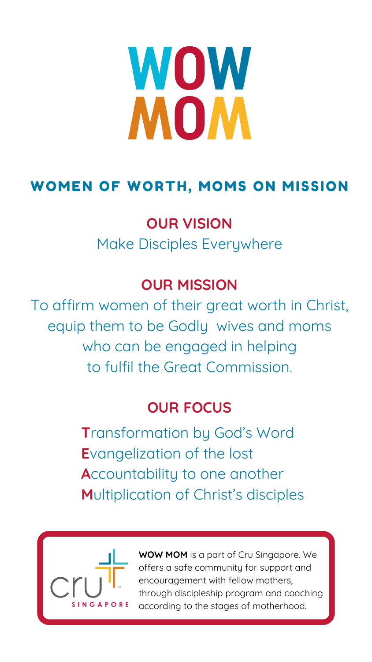#### **OUR VISION**

Make Disciples Everywhere

#### **OUR MISSION**

To affirm women of their great worth in Christ, equip them to be Godly wives and moms who can be engaged in helping to fulfil the Great Commission.

#### **OUR FOCUS**

# WOW MOM

### WOMEN OF WORTH, MOMS ON MISSION

**T**ransformation by God's Word **E**vangelization of the lost **A**ccountability to one another **M**ultiplication of Christ's disciples



**WOW MOM** is a part of Cru Singapore. We offers a safe community for support and encouragement with fellow mothers, through discipleship program and coaching according to the stages of motherhood.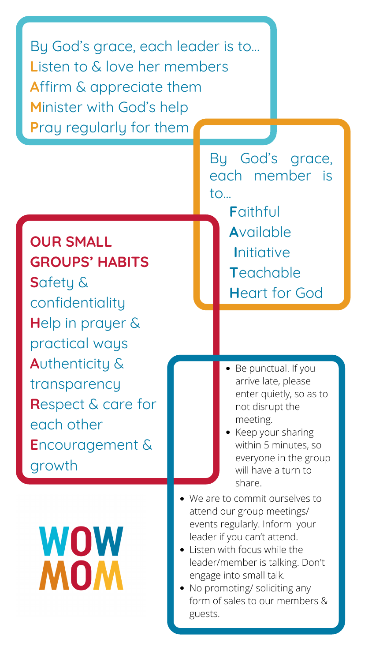**OUR SMALL GROUPS' HABITS S**afety & confidentiality **H**elp in prayer & practical ways **A**uthenticity & transparency **R**espect & care for

each other **E**ncouragement & growth

## WOW MOM

By God's grace, each leader is to… Listen to & love her members **A**ffirm & appreciate them **M**inister with God's help **P**ray regularly for them

> By God's grace, each member is to... **F**aithful **A**vailable **I**nitiative **T**eachable **H**eart for God

> > Be punctual. If you arrive late, please enter quietly, so as to not disrupt the

> > > meeting.

- Keep your sharing within 5 minutes, so everyone in the group will have a turn to share.
- We are to commit ourselves to attend our group meetings/ events regularly. Inform your leader if you can't attend.
- Listen with focus while the leader/member is talking. Don't engage into small talk.
- No promoting/ soliciting any form of sales to our members & guests.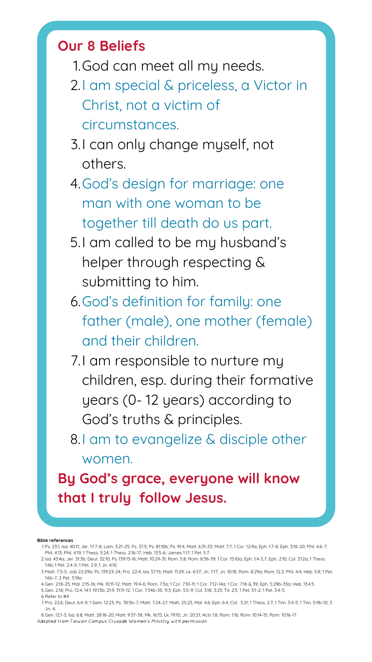- 1. God can meet all my needs.
- 2.I am special & priceless, a Victor in Christ, not a victim of circumstances.
- 3.I can only change myself, not others.
- 4. God's design for marriage: one man with one woman to be together till death do us part.
- 5.I am called to be my husband's helper through respecting & submitting to him.
- 6. God's definition for family: one father (male), one mother (female) and their children.
- 7.I am responsible to nurture my children, esp. during their formative years (0- 12 years) according to

#### **Our 8 Beliefs**

God's truths & principles. 8.I am to evangelize & disciple other women. **By God's grace, everyone will know that I truly follow Jesus.**

- Ps. 23:1; Isa. 40:11; Jer. 17:7-8; Lam. 3:21-25; Ps. 37:5; Ps. 81:10b; Ps. 91:4; Matt. 6:31-33; Matt. 7:7; 1 Cor. 12:9a; Eph. 1:7-8; Eph. 3:18-20; Phil. 4:6-7; 1. Phil. 4:13; Phil. 4:19; 1 Thess. 5:24; 1 Thess. 2:16-17; Heb. 13:5-6; James 1:17; 1 Pet. 5:7.
- 2.Isa. 43:4a; Jer. 31:3b; Deut. 32:10; Ps. 139:13-16; Matt. 10:29-31; Rom. 5:8; Rom. 8:38-39; 1 Cor. 15:10a; Eph. 1:4-5,7; Eph. 2:10; Col. 3:12a; 1 Thess. 1:4b; 1 Pet. 2:4-5; 1 Pet. 2:9; 1 Jn. 4:10.
- 3.Matt. 7:3-5; Job 22:29b; Ps. 139:23-24; Pro. 22:4; Isa. 57:15; Matt. 11:29; Lk. 6:37; Jn. 7:17; Jn. 10:18; Rom. 8:29a; Rom. 12:2; Phil. 4:4; Heb. 5:8; 1 Pet. 1:6b-7; 2 Pet. 3:18a
- Gen. 2:18-25; Mal. 2:15-16; Mk. 10:11-12; Matt. 19:4-6; Rom. 7:3a; 1 Cor. 7:10-11; 1 Cor. 7:12-14a; 1 Cor. 7:16 & 39; Eph. 5:29b-33a; Heb. 13:4.5. 4.
- Gen. 2:18; Pro. 12:4; 14:1; 19:13b; 21:9; 31:11-12; 1 Cor. 7:34b-35; 11:3; Eph. 5:5-9; Col. 3:18; 3:23; Tit. 2:5; 1 Pet. 3:1-2; 1 Pet. 3:4-5. 5.
- $6.$ Refer to #4.
- 7.Pro. 22:6; Deut. 6:4-9; 1 Sam. 12:23; Ps. 78:5b-7; Matt. 7:24-27; Matt. 25:23; Mal. 4:6; Eph. 6:4; Col. 3:21; 1 Thess. 2:7; 1 Tim. 3:4-5; 1 Tim. 5:9b-10; 3 Jn. 4.
- Gen. 12:1-3; Isa. 6:8; Matt. 28:18-20; Matt. 9:37-38; Mk. 16:15; Lk. 19:10; Jn. 20:21; Acts 1:8; Rom. 1:16; Rom. 10:14-15; Rom. 10:16-17 8. Adapted from Taiwan Campus Crusade Women's Ministry with permission

#### **Bible references**